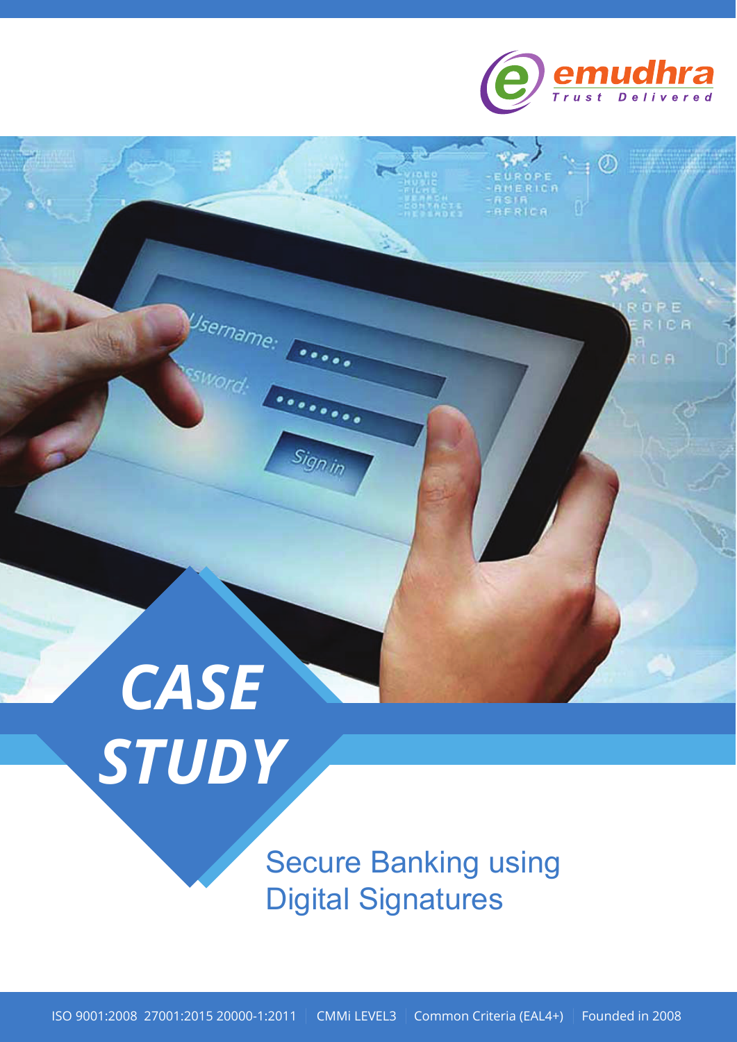

 $\cdot$   $\circ$ 

OPE

**RICA** 

18

**RERICA** 

# *CASE STUDY*

Username:

 $\dddotsc$ 

Sign in

Secure Banking using Digital Signatures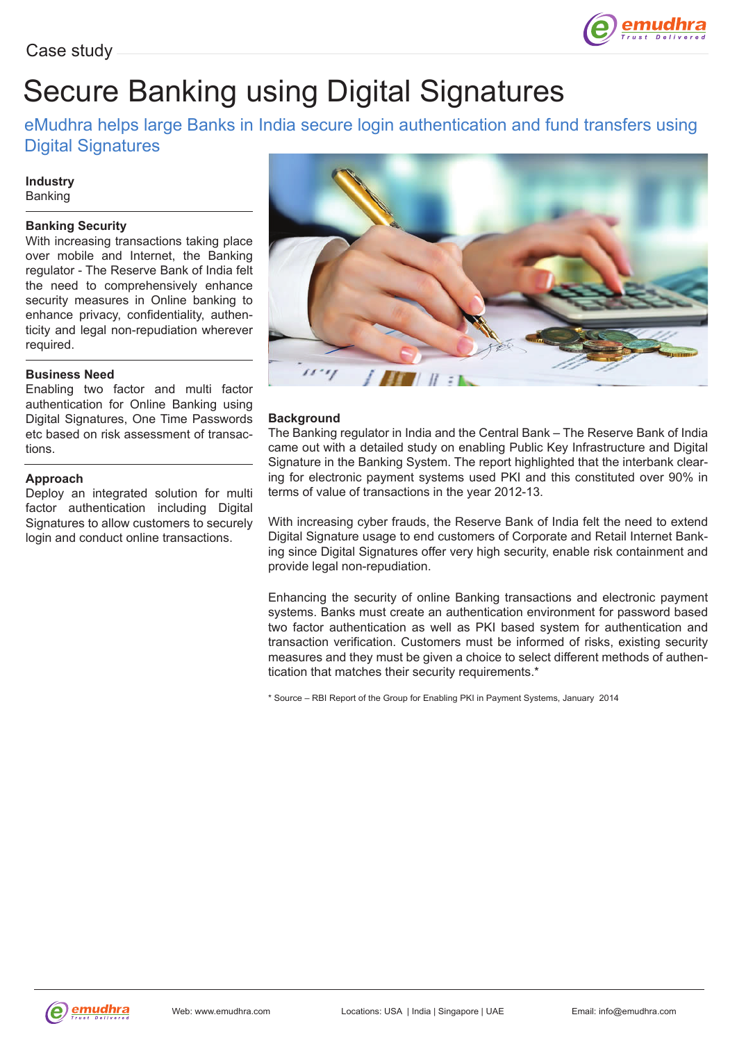

## Secure Banking using Digital Signatures

#### eMudhra helps large Banks in India secure login authentication and fund transfers using Digital Signatures

#### **Industry** Banking

#### **Banking Security**

With increasing transactions taking place over mobile and Internet, the Banking regulator - The Reserve Bank of India felt the need to comprehensively enhance security measures in Online banking to enhance privacy, confidentiality, authenticity and legal non-repudiation wherever required.

#### **Business Need**

Enabling two factor and multi factor authentication for Online Banking using Digital Signatures, One Time Passwords etc based on risk assessment of transactions.

#### **Approach**

Deploy an integrated solution for multi factor authentication including Digital Signatures to allow customers to securely login and conduct online transactions.



#### **Background**

The Banking regulator in India and the Central Bank – The Reserve Bank of India came out with a detailed study on enabling Public Key Infrastructure and Digital Signature in the Banking System. The report highlighted that the interbank clearing for electronic payment systems used PKI and this constituted over 90% in terms of value of transactions in the year 2012-13.

With increasing cyber frauds, the Reserve Bank of India felt the need to extend Digital Signature usage to end customers of Corporate and Retail Internet Banking since Digital Signatures offer very high security, enable risk containment and provide legal non-repudiation.

Enhancing the security of online Banking transactions and electronic payment systems. Banks must create an authentication environment for password based two factor authentication as well as PKI based system for authentication and transaction verification. Customers must be informed of risks, existing security measures and they must be given a choice to select different methods of authentication that matches their security requirements.\*

\* Source – RBI Report of the Group for Enabling PKI in Payment Systems, January 2014

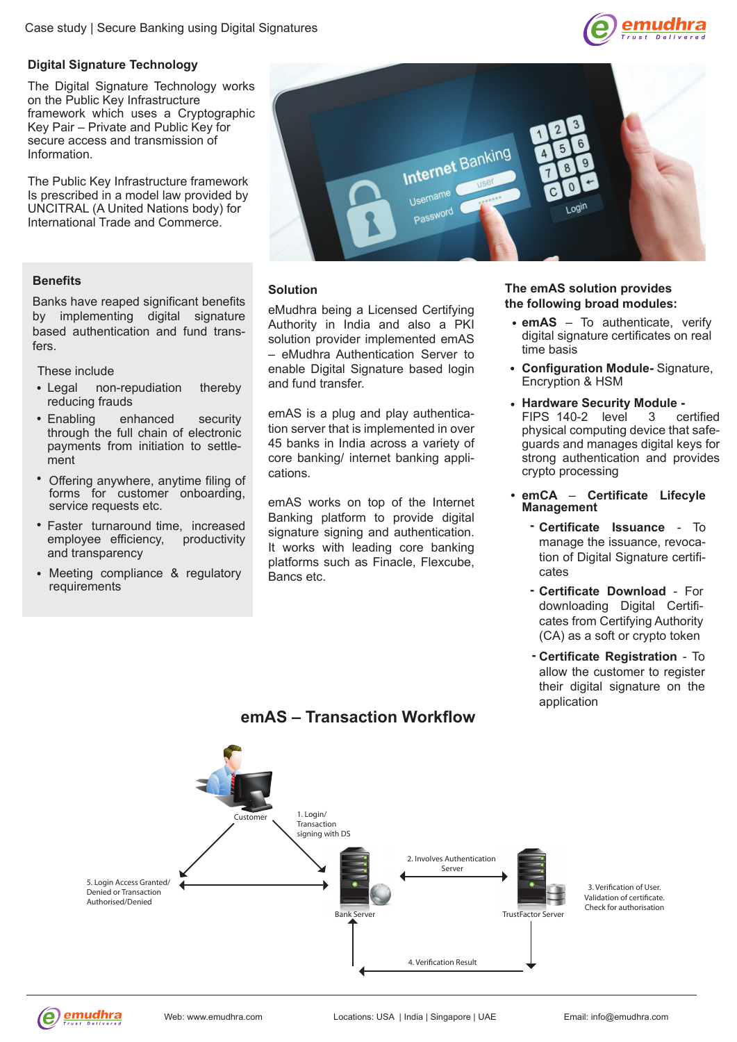

#### **Digital Signature Technology**

The Digital Signature Technology works on the Public Key Infrastructure framework which uses a Cryptographic Key Pair – Private and Public Key for secure access and transmission of Information.

The Public Key Infrastructure framework Is prescribed in a model law provided by UNCITRAL (A United Nations body) for International Trade and Commerce.

Banks have reaped significant benefits by implementing digital signature based authentication and fund transfers.

These include

- Legal non-repudiation thereby reducing frauds
- Enabling enhanced security through the full chain of electronic payments from initiation to settlement
- Offering anywhere, anytime filing of forms for customer onboarding, service requests etc.
- Faster turnaround time, increased employee efficiency, productivity and transparency
- Meeting compliance & regulatory requirements



### **Solution Benefits**

eMudhra being a Licensed Certifying Authority in India and also a PKI solution provider implemented emAS – eMudhra Authentication Server to enable Digital Signature based login and fund transfer.

emAS is a plug and play authentication server that is implemented in over 45 banks in India across a variety of core banking/ internet banking applications.

emAS works on top of the Internet Banking platform to provide digital signature signing and authentication. It works with leading core banking platforms such as Finacle, Flexcube, Bancs etc.

#### **The emAS solution provides the following broad modules:**

- **emAS** To authenticate, verify digital signature certificates on real time basis
- **Configuration Module-** Signature, Encryption & HSM
- **Hardware Security Module -**<br>FIPS 140-2 level 3 ce FIPS 140-2 level 3 certified physical computing device that safeguards and manages digital keys for strong authentication and provides crypto processing
- **emCA Certificate Lifecyle Management** 
	- **Certificate Issuance** To  manage the issuance, revocation of Digital Signature certificates
	- **- Certificate Download**  For downloading Digital Certificates from Certifying Authority (CA) as a soft or crypto token
	- **- Certificate Registration** To allow the customer to register their digital signature on the application



#### **emAS – Transaction Workflow**